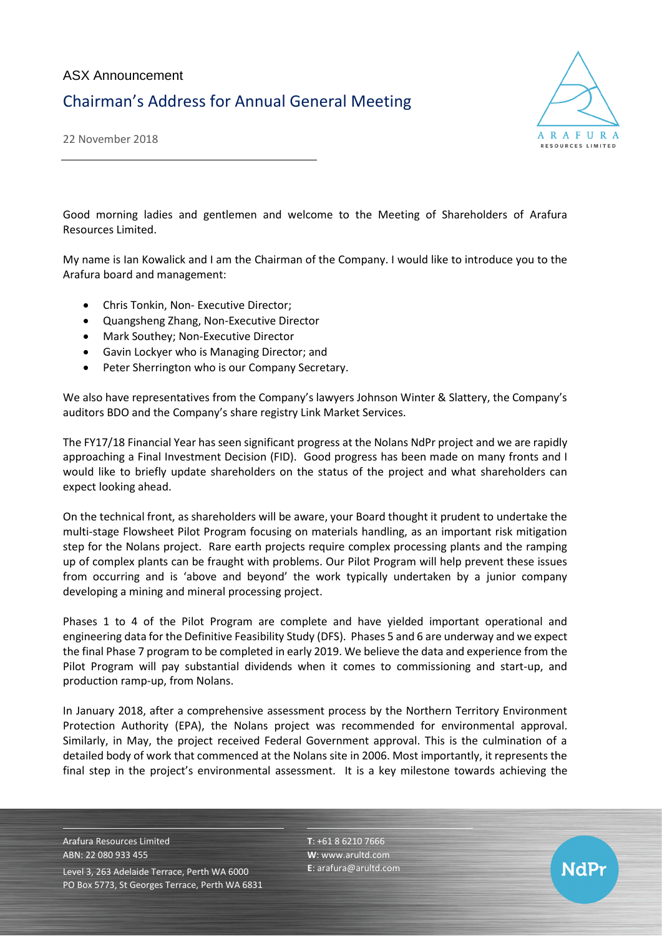

22 November 2018

Good morning ladies and gentlemen and welcome to the Meeting of Shareholders of Arafura Resources Limited.

My name is Ian Kowalick and I am the Chairman of the Company. I would like to introduce you to the Arafura board and management:

- Chris Tonkin, Non- Executive Director;
- Quangsheng Zhang, Non-Executive Director
- Mark Southey; Non-Executive Director
- Gavin Lockyer who is Managing Director; and
- Peter Sherrington who is our Company Secretary.

We also have representatives from the Company's lawyers Johnson Winter & Slattery, the Company's auditors BDO and the Company's share registry Link Market Services.

The FY17/18 Financial Year has seen significant progress at the Nolans NdPr project and we are rapidly approaching a Final Investment Decision (FID). Good progress has been made on many fronts and I would like to briefly update shareholders on the status of the project and what shareholders can expect looking ahead.

On the technical front, as shareholders will be aware, your Board thought it prudent to undertake the multi-stage Flowsheet Pilot Program focusing on materials handling, as an important risk mitigation step for the Nolans project. Rare earth projects require complex processing plants and the ramping up of complex plants can be fraught with problems. Our Pilot Program will help prevent these issues from occurring and is 'above and beyond' the work typically undertaken by a junior company developing a mining and mineral processing project.

Phases 1 to 4 of the Pilot Program are complete and have yielded important operational and engineering data for the Definitive Feasibility Study (DFS). Phases 5 and 6 are underway and we expect the final Phase 7 program to be completed in early 2019. We believe the data and experience from the Pilot Program will pay substantial dividends when it comes to commissioning and start-up, and production ramp-up, from Nolans.

In January 2018, after a comprehensive assessment process by the Northern Territory Environment Protection Authority (EPA), the Nolans project was recommended for environmental approval. Similarly, in May, the project received Federal Government approval. This is the culmination of a detailed body of work that commenced at the Nolans site in 2006. Most importantly, it represents the final step in the project's environmental assessment. It is a key milestone towards achieving the

Arafura Resources Limited ABN: 22 080 933 455 Level 3, 263 Adelaide Terrace, Perth WA 6000 PO Box 5773, St Georges Terrace, Perth WA 6831 **T**: +61 8 6210 7666 **W**: [www.arultd.com](http://www.arultd.com/) **E**[: arafura@arultd.com](mailto:arafura@arultd.com)

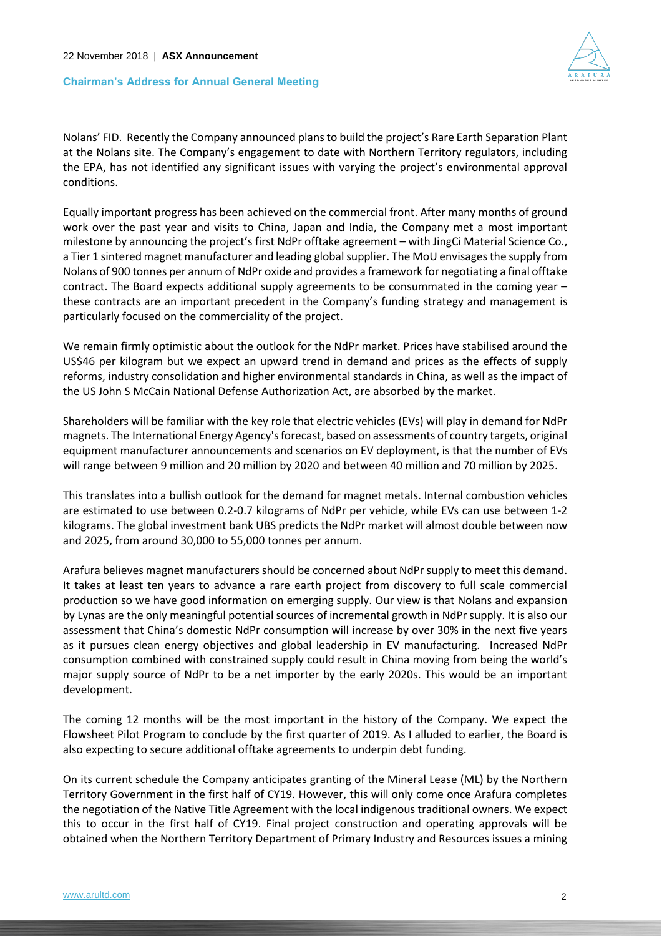

Nolans' FID. Recently the Company announced plans to build the project's Rare Earth Separation Plant at the Nolans site. The Company's engagement to date with Northern Territory regulators, including the EPA, has not identified any significant issues with varying the project's environmental approval conditions.

Equally important progress has been achieved on the commercial front. After many months of ground work over the past year and visits to China, Japan and India, the Company met a most important milestone by announcing the project's first NdPr offtake agreement – with JingCi Material Science Co., a Tier 1 sintered magnet manufacturer and leading global supplier. The MoU envisages the supply from Nolans of 900 tonnes per annum of NdPr oxide and provides a framework for negotiating a final offtake contract. The Board expects additional supply agreements to be consummated in the coming year – these contracts are an important precedent in the Company's funding strategy and management is particularly focused on the commerciality of the project.

We remain firmly optimistic about the outlook for the NdPr market. Prices have stabilised around the US\$46 per kilogram but we expect an upward trend in demand and prices as the effects of supply reforms, industry consolidation and higher environmental standards in China, as well as the impact of the US John S McCain National Defense Authorization Act, are absorbed by the market.

Shareholders will be familiar with the key role that electric vehicles (EVs) will play in demand for NdPr magnets. The [International Energy Agency'](javascript:void(0);)s forecast, based on assessments of country targets, original equipment manufacturer announcements and scenarios on EV deployment, is that the number of EVs will range between 9 million and 20 million by 2020 and between 40 million and 70 million by 2025.

This translates into a bullish outlook for the demand for magnet metals. Internal combustion vehicles are estimated to use between 0.2-0.7 kilograms of NdPr per vehicle, while EVs can use between 1-2 kilograms. The global investment bank UBS predicts the NdPr market will almost double between now and 2025, from around 30,000 to 55,000 tonnes per annum.

Arafura believes magnet manufacturers should be concerned about NdPr supply to meet this demand. It takes at least ten years to advance a rare earth project from discovery to full scale commercial production so we have good information on emerging supply. Our view is that Nolans and expansion by Lynas are the only meaningful potential sources of incremental growth in NdPr supply. It is also our assessment that China's domestic NdPr consumption will increase by over 30% in the next five years as it pursues clean energy objectives and global leadership in EV manufacturing. Increased NdPr consumption combined with constrained supply could result in China moving from being the world's major supply source of NdPr to be a net importer by the early 2020s. This would be an important development.

The coming 12 months will be the most important in the history of the Company. We expect the Flowsheet Pilot Program to conclude by the first quarter of 2019. As I alluded to earlier, the Board is also expecting to secure additional offtake agreements to underpin debt funding.

On its current schedule the Company anticipates granting of the Mineral Lease (ML) by the Northern Territory Government in the first half of CY19. However, this will only come once Arafura completes the negotiation of the Native Title Agreement with the local indigenous traditional owners. We expect this to occur in the first half of CY19. Final project construction and operating approvals will be obtained when the Northern Territory Department of Primary Industry and Resources issues a mining